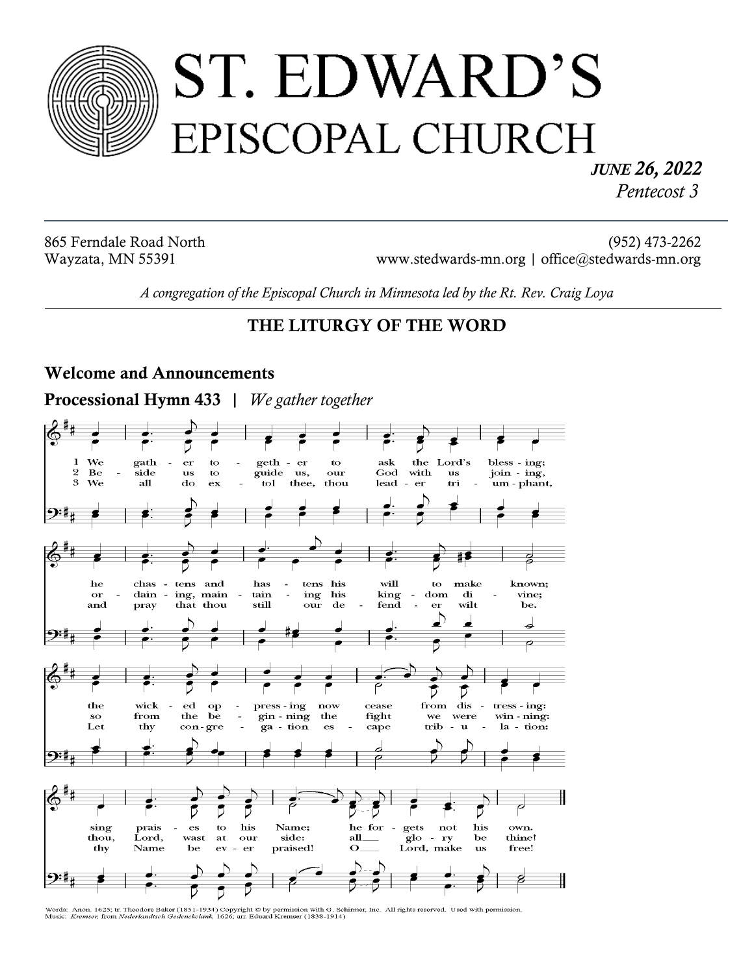

# ST. EDWARD'S EPISCOPAL CHURCH

*JUNE 26, 2022 Pentecost 3*

865 Ferndale Road North (952) 473-2262 Wayzata, MN 55391 www.stedwards-mn.org | office@stedwards-mn.org

*A congregation of the Episcopal Church in Minnesota led by the Rt. Rev. Craig Loya* 

# **THE LITURGY OF THE WORD**

#### **Welcome and Announcements**

**Processional Hymn 433 |** *We gather together*



Words: Anon. 1625; tr. Theodore Baker (1851-1934) Copyright @ by permission with G. Schirmer, Inc. All rights reserved. Used with permission.<br>Music: Kremser, from Nederlandtsch Gedenckclank, 1626; arr. Eduard Kremser (1838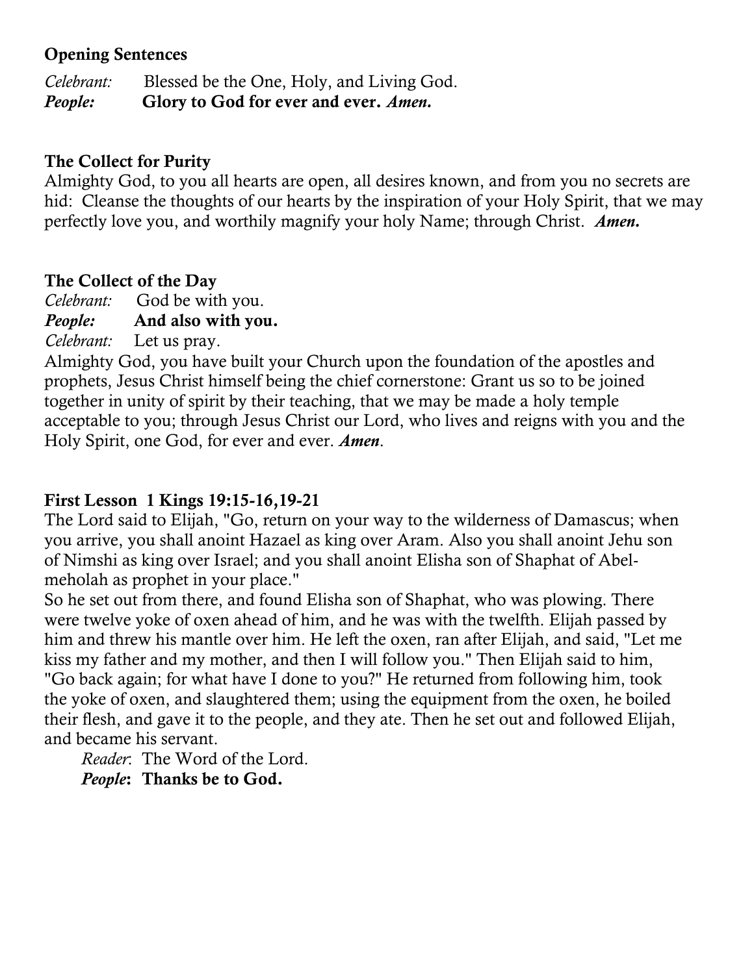## **Opening Sentences**

*Celebrant:* Blessed be the One, Holy, and Living God. *People:* **Glory to God for ever and ever.** *Amen.*

## **The Collect for Purity**

Almighty God, to you all hearts are open, all desires known, and from you no secrets are hid: Cleanse the thoughts of our hearts by the inspiration of your Holy Spirit, that we may perfectly love you, and worthily magnify your holy Name; through Christ.*Amen.*

# **The Collect of the Day**

*Celebrant:* God be with you.

*People:* **And also with you.**

*Celebrant:* Let us pray.

Almighty God, you have built your Church upon the foundation of the apostles and prophets, Jesus Christ himself being the chief cornerstone: Grant us so to be joined together in unity of spirit by their teaching, that we may be made a holy temple acceptable to you; through Jesus Christ our Lord, who lives and reigns with you and the Holy Spirit, one God, for ever and ever. *Amen*.

# **First Lesson 1 Kings 19:15-16,19-21**

The Lord said to Elijah, "Go, return on your way to the wilderness of Damascus; when you arrive, you shall anoint Hazael as king over Aram. Also you shall anoint Jehu son of Nimshi as king over Israel; and you shall anoint Elisha son of Shaphat of Abelmeholah as prophet in your place."

So he set out from there, and found Elisha son of Shaphat, who was plowing. There were twelve yoke of oxen ahead of him, and he was with the twelfth. Elijah passed by him and threw his mantle over him. He left the oxen, ran after Elijah, and said, "Let me kiss my father and my mother, and then I will follow you." Then Elijah said to him, "Go back again; for what have I done to you?" He returned from following him, took the yoke of oxen, and slaughtered them; using the equipment from the oxen, he boiled their flesh, and gave it to the people, and they ate. Then he set out and followed Elijah, and became his servant.

*Reader*: The Word of the Lord. *People***: Thanks be to God.**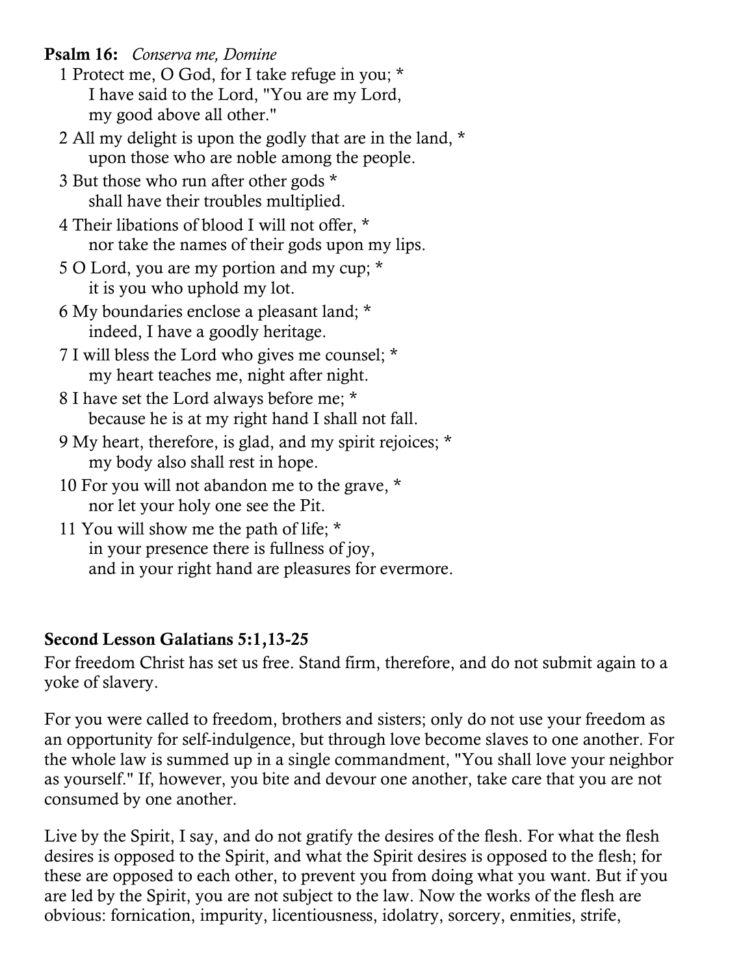**Psalm 16:** *Conserva me, Domine*

- 1 Protect me, O God, for I take refuge in you; \* I have said to the Lord, "You are my Lord, my good above all other."
- 2 All my delight is upon the godly that are in the land, \* upon those who are noble among the people.
- 3 But those who run after other gods \* shall have their troubles multiplied.
- 4 Their libations of blood I will not offer, \* nor take the names of their gods upon my lips.
- 5 O Lord, you are my portion and my cup; \* it is you who uphold my lot.
- 6 My boundaries enclose a pleasant land; \* indeed, I have a goodly heritage.
- 7 I will bless the Lord who gives me counsel; \* my heart teaches me, night after night.
- 8 I have set the Lord always before me; \* because he is at my right hand I shall not fall.
- 9 My heart, therefore, is glad, and my spirit rejoices; \* my body also shall rest in hope.
- 10 For you will not abandon me to the grave, \* nor let your holy one see the Pit.
- 11 You will show me the path of life; \* in your presence there is fullness of joy, and in your right hand are pleasures for evermore.

# **Second Lesson Galatians 5:1,13-25**

For freedom Christ has set us free. Stand firm, therefore, and do not submit again to a yoke of slavery.

For you were called to freedom, brothers and sisters; only do not use your freedom as an opportunity for self-indulgence, but through love become slaves to one another. For the whole law is summed up in a single commandment, "You shall love your neighbor as yourself." If, however, you bite and devour one another, take care that you are not consumed by one another.

Live by the Spirit, I say, and do not gratify the desires of the flesh. For what the flesh desires is opposed to the Spirit, and what the Spirit desires is opposed to the flesh; for these are opposed to each other, to prevent you from doing what you want. But if you are led by the Spirit, you are not subject to the law. Now the works of the flesh are obvious: fornication, impurity, licentiousness, idolatry, sorcery, enmities, strife,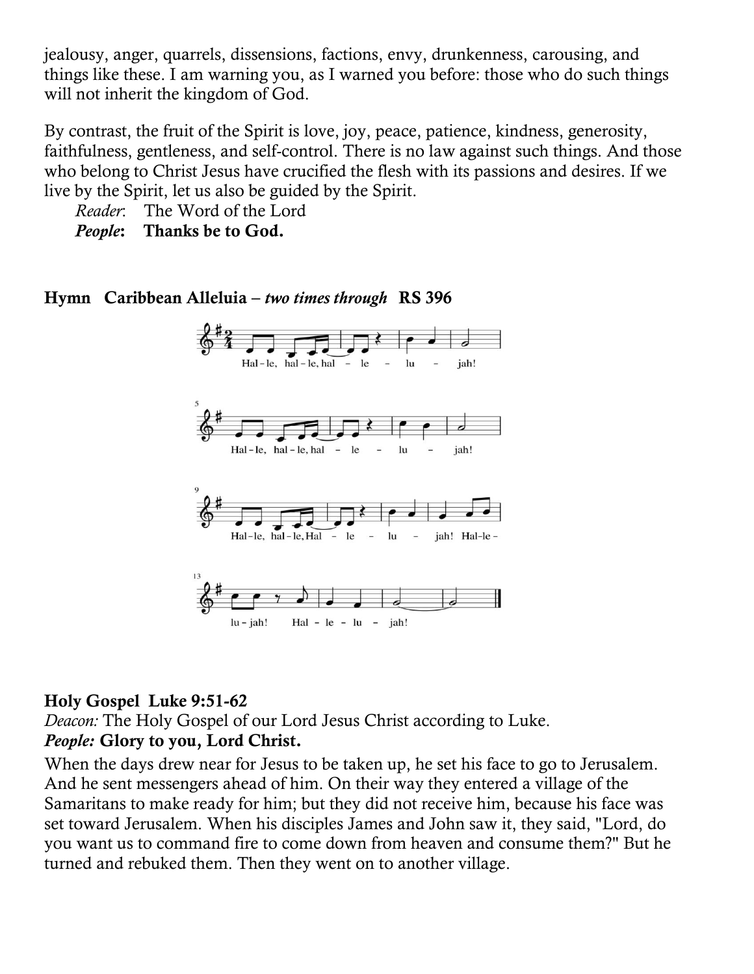jealousy, anger, quarrels, dissensions, factions, envy, drunkenness, carousing, and things like these. I am warning you, as I warned you before: those who do such things will not inherit the kingdom of God.

By contrast, the fruit of the Spirit is love, joy, peace, patience, kindness, generosity, faithfulness, gentleness, and self-control. There is no law against such things. And those who belong to Christ Jesus have crucified the flesh with its passions and desires. If we live by the Spirit, let us also be guided by the Spirit.

*Reader*: The Word of the Lord

*People***: Thanks be to God.**

## **Hymn Caribbean Alleluia –** *two times through* **RS 396**



## **Holy Gospel Luke 9:51-62**

*Deacon:* The Holy Gospel of our Lord Jesus Christ according to Luke. *People:* **Glory to you, Lord Christ.** 

When the days drew near for Jesus to be taken up, he set his face to go to Jerusalem. And he sent messengers ahead of him. On their way they entered a village of the Samaritans to make ready for him; but they did not receive him, because his face was set toward Jerusalem. When his disciples James and John saw it, they said, "Lord, do you want us to command fire to come down from heaven and consume them?" But he turned and rebuked them. Then they went on to another village.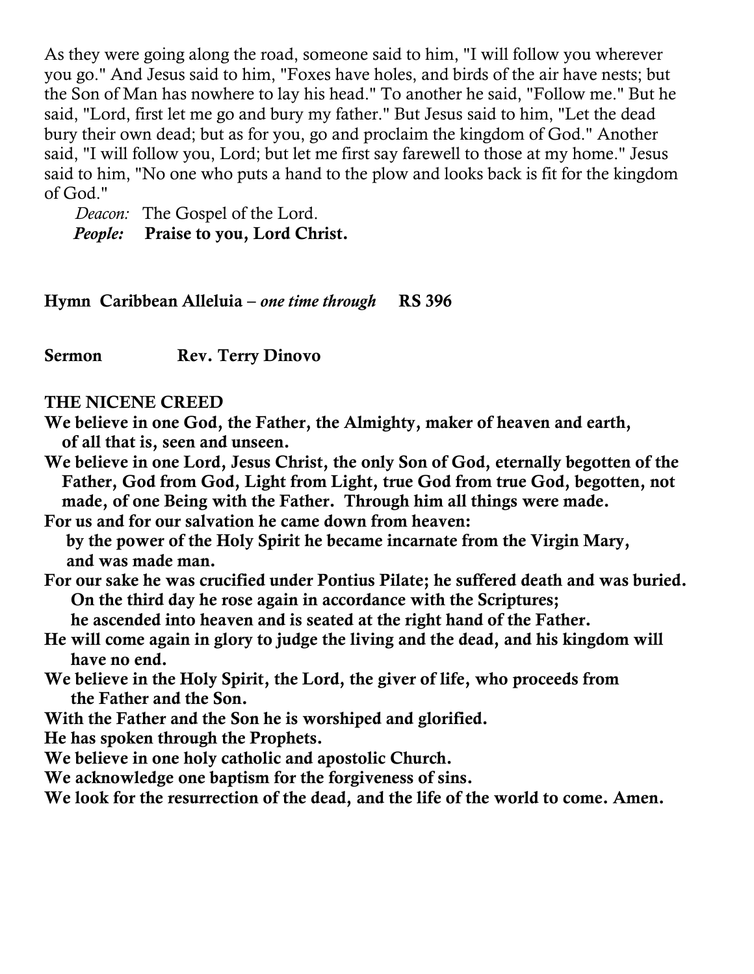As they were going along the road, someone said to him, "I will follow you wherever you go." And Jesus said to him, "Foxes have holes, and birds of the air have nests; but the Son of Man has nowhere to lay his head." To another he said, "Follow me." But he said, "Lord, first let me go and bury my father." But Jesus said to him, "Let the dead bury their own dead; but as for you, go and proclaim the kingdom of God." Another said, "I will follow you, Lord; but let me first say farewell to those at my home." Jesus said to him, "No one who puts a hand to the plow and looks back is fit for the kingdom of God."

 *Deacon:* The Gospel of the Lord. *People:* **Praise to you, Lord Christ.**

**Hymn Caribbean Alleluia –** *one time through* **RS 396** 

**Sermon Rev. Terry Dinovo**

#### **THE NICENE CREED**

**We believe in one God, the Father, the Almighty, maker of heaven and earth, of all that is, seen and unseen.**

**We believe in one Lord, Jesus Christ, the only Son of God, eternally begotten of the Father, God from God, Light from Light, true God from true God, begotten, not made, of one Being with the Father. Through him all things were made.**

**For us and for our salvation he came down from heaven:**

 **by the power of the Holy Spirit he became incarnate from the Virgin Mary, and was made man.**

**For our sake he was crucified under Pontius Pilate; he suffered death and was buried. On the third day he rose again in accordance with the Scriptures;**

 **he ascended into heaven and is seated at the right hand of the Father.**

- **He will come again in glory to judge the living and the dead, and his kingdom will have no end.**
- **We believe in the Holy Spirit, the Lord, the giver of life, who proceeds from the Father and the Son.**
- **With the Father and the Son he is worshiped and glorified.**

**He has spoken through the Prophets.**

**We believe in one holy catholic and apostolic Church.**

**We acknowledge one baptism for the forgiveness of sins.**

**We look for the resurrection of the dead, and the life of the world to come. Amen.**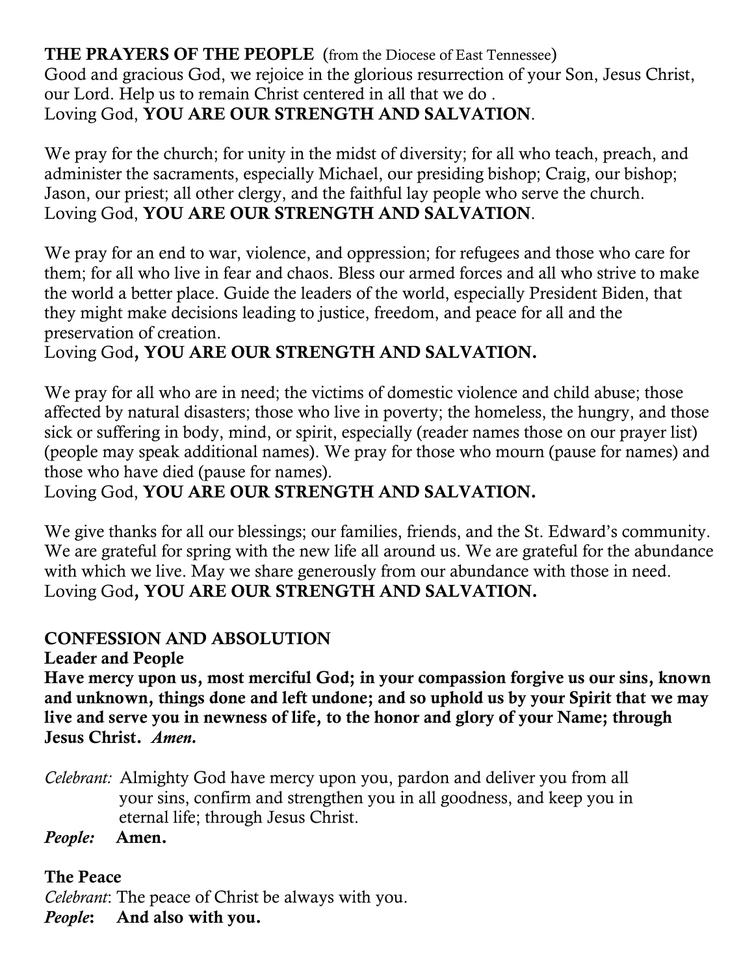# **THE PRAYERS OF THE PEOPLE** (from the Diocese of East Tennessee)

Good and gracious God, we rejoice in the glorious resurrection of your Son, Jesus Christ, our Lord. Help us to remain Christ centered in all that we do . Loving God, **YOU ARE OUR STRENGTH AND SALVATION**.

We pray for the church; for unity in the midst of diversity; for all who teach, preach, and administer the sacraments, especially Michael, our presiding bishop; Craig, our bishop; Jason, our priest; all other clergy, and the faithful lay people who serve the church. Loving God, **YOU ARE OUR STRENGTH AND SALVATION**.

We pray for an end to war, violence, and oppression; for refugees and those who care for them; for all who live in fear and chaos. Bless our armed forces and all who strive to make the world a better place. Guide the leaders of the world, especially President Biden, that they might make decisions leading to justice, freedom, and peace for all and the preservation of creation.

# Loving God**, YOU ARE OUR STRENGTH AND SALVATION.**

We pray for all who are in need; the victims of domestic violence and child abuse; those affected by natural disasters; those who live in poverty; the homeless, the hungry, and those sick or suffering in body, mind, or spirit, especially (reader names those on our prayer list) (people may speak additional names). We pray for those who mourn (pause for names) and those who have died (pause for names).

Loving God, **YOU ARE OUR STRENGTH AND SALVATION.**

We give thanks for all our blessings; our families, friends, and the St. Edward's community. We are grateful for spring with the new life all around us. We are grateful for the abundance with which we live. May we share generously from our abundance with those in need. Loving God**, YOU ARE OUR STRENGTH AND SALVATION.**

# **CONFESSION AND ABSOLUTION**

**Leader and People**

**Have mercy upon us, most merciful God; in your compassion forgive us our sins, known and unknown, things done and left undone; and so uphold us by your Spirit that we may live and serve you in newness of life, to the honor and glory of your Name; through Jesus Christ.** *Amen.*

*Celebrant:* Almighty God have mercy upon you, pardon and deliver you from all your sins, confirm and strengthen you in all goodness, and keep you in eternal life; through Jesus Christ.

*People:* **Amen.**

## **The Peace**

*Celebrant*: The peace of Christ be always with you.

*People***: And also with you.**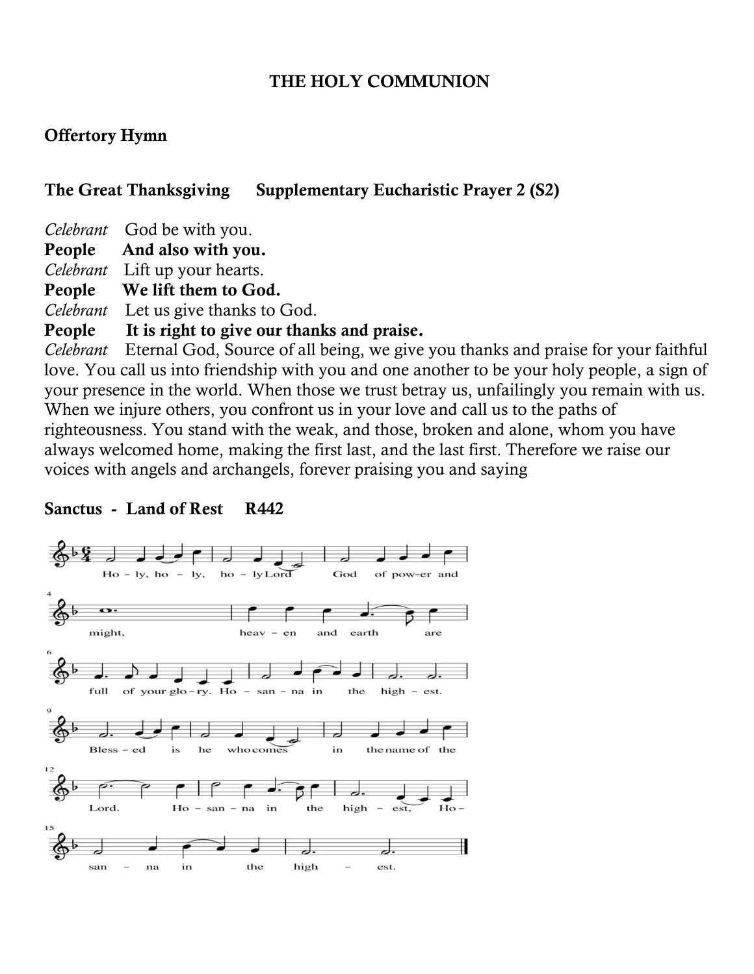#### **THE HOLY COMMUNION**

#### **Offertory Hymn**

#### **The Great Thanksgiving Supplementary Eucharistic Prayer 2 (S2)**

*Celebrant* God be with you.

**People And also with you.**

*Celebrant* Lift up your hearts.

**People We lift them to God.** 

*Celebrant* Let us give thanks to God.

#### **People It is right to give our thanks and praise.**

*Celebrant* Eternal God, Source of all being, we give you thanks and praise for your faithful love. You call us into friendship with you and one another to be your holy people, a sign of your presence in the world. When those we trust betray us, unfailingly you remain with us. When we injure others, you confront us in your love and call us to the paths of righteousness. You stand with the weak, and those, broken and alone, whom you have always welcomed home, making the first last, and the last first. Therefore we raise our voices with angels and archangels, forever praising you and saying

## **Sanctus - Land of Rest R442**

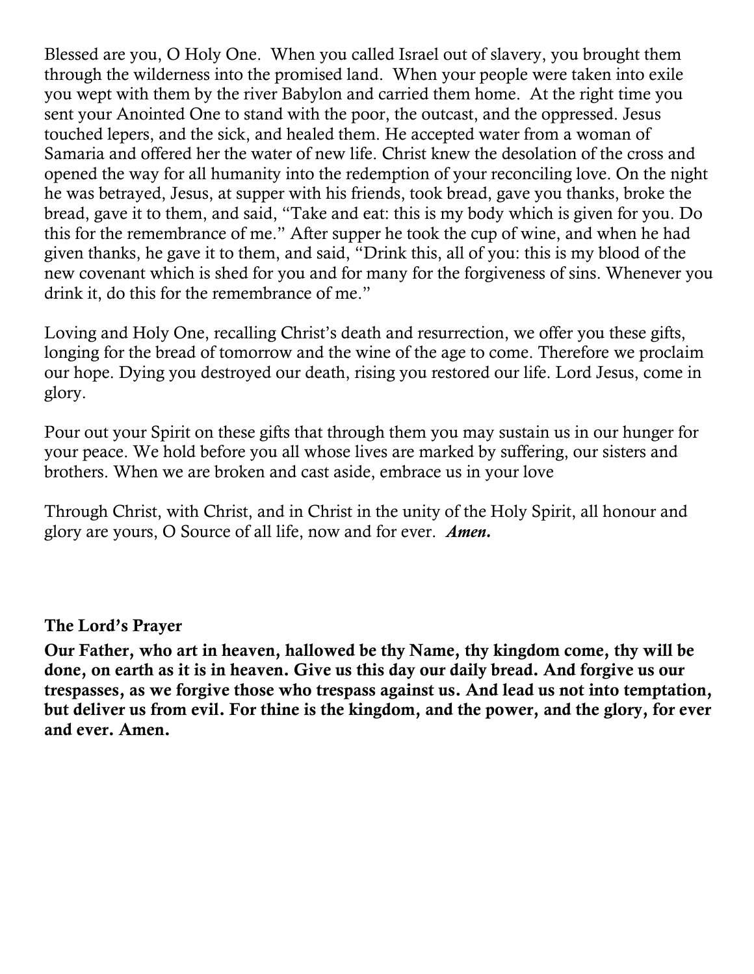Blessed are you, O Holy One. When you called Israel out of slavery, you brought them through the wilderness into the promised land. When your people were taken into exile you wept with them by the river Babylon and carried them home. At the right time you sent your Anointed One to stand with the poor, the outcast, and the oppressed. Jesus touched lepers, and the sick, and healed them. He accepted water from a woman of Samaria and offered her the water of new life. Christ knew the desolation of the cross and opened the way for all humanity into the redemption of your reconciling love. On the night he was betrayed, Jesus, at supper with his friends, took bread, gave you thanks, broke the bread, gave it to them, and said, "Take and eat: this is my body which is given for you. Do this for the remembrance of me." After supper he took the cup of wine, and when he had given thanks, he gave it to them, and said, "Drink this, all of you: this is my blood of the new covenant which is shed for you and for many for the forgiveness of sins. Whenever you drink it, do this for the remembrance of me."

Loving and Holy One, recalling Christ's death and resurrection, we offer you these gifts, longing for the bread of tomorrow and the wine of the age to come. Therefore we proclaim our hope. Dying you destroyed our death, rising you restored our life. Lord Jesus, come in glory.

Pour out your Spirit on these gifts that through them you may sustain us in our hunger for your peace. We hold before you all whose lives are marked by suffering, our sisters and brothers. When we are broken and cast aside, embrace us in your love

Through Christ, with Christ, and in Christ in the unity of the Holy Spirit, all honour and glory are yours, O Source of all life, now and for ever. *Amen.*

#### **The Lord's Prayer**

**Our Father, who art in heaven, hallowed be thy Name, thy kingdom come, thy will be done, on earth as it is in heaven. Give us this day our daily bread. And forgive us our trespasses, as we forgive those who trespass against us. And lead us not into temptation, but deliver us from evil. For thine is the kingdom, and the power, and the glory, for ever and ever. Amen.**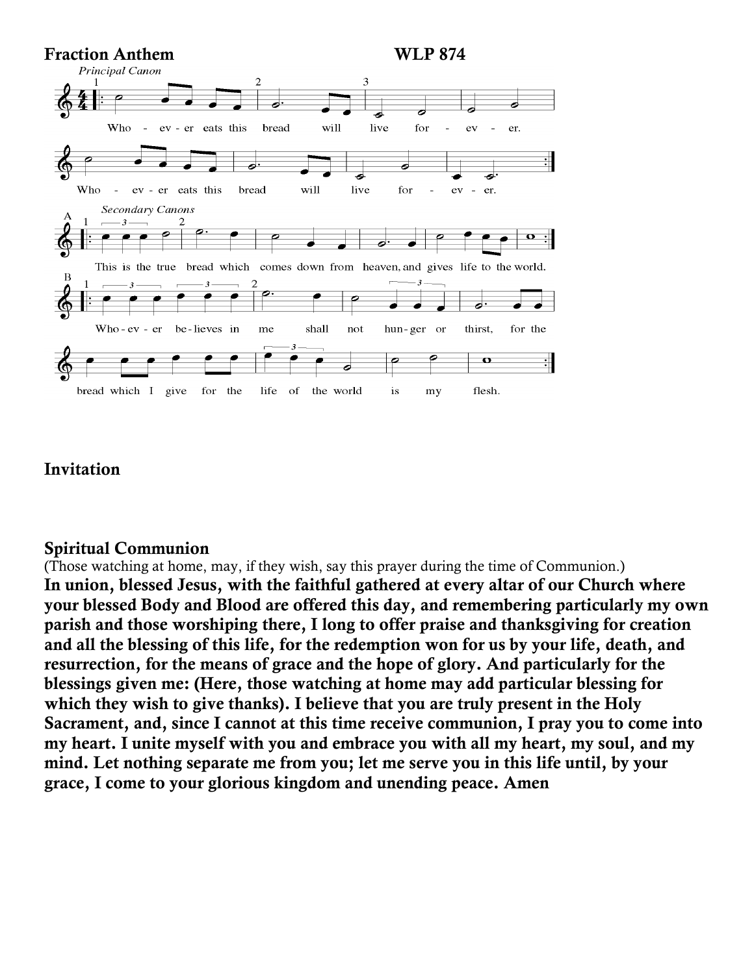

## **Invitation**

#### **Spiritual Communion**

(Those watching at home, may, if they wish, say this prayer during the time of Communion.) **In union, blessed Jesus, with the faithful gathered at every altar of our Church where your blessed Body and Blood are offered this day, and remembering particularly my own parish and those worshiping there, I long to offer praise and thanksgiving for creation and all the blessing of this life, for the redemption won for us by your life, death, and resurrection, for the means of grace and the hope of glory. And particularly for the blessings given me: (Here, those watching at home may add particular blessing for which they wish to give thanks). I believe that you are truly present in the Holy Sacrament, and, since I cannot at this time receive communion, I pray you to come into my heart. I unite myself with you and embrace you with all my heart, my soul, and my mind. Let nothing separate me from you; let me serve you in this life until, by your grace, I come to your glorious kingdom and unending peace. Amen**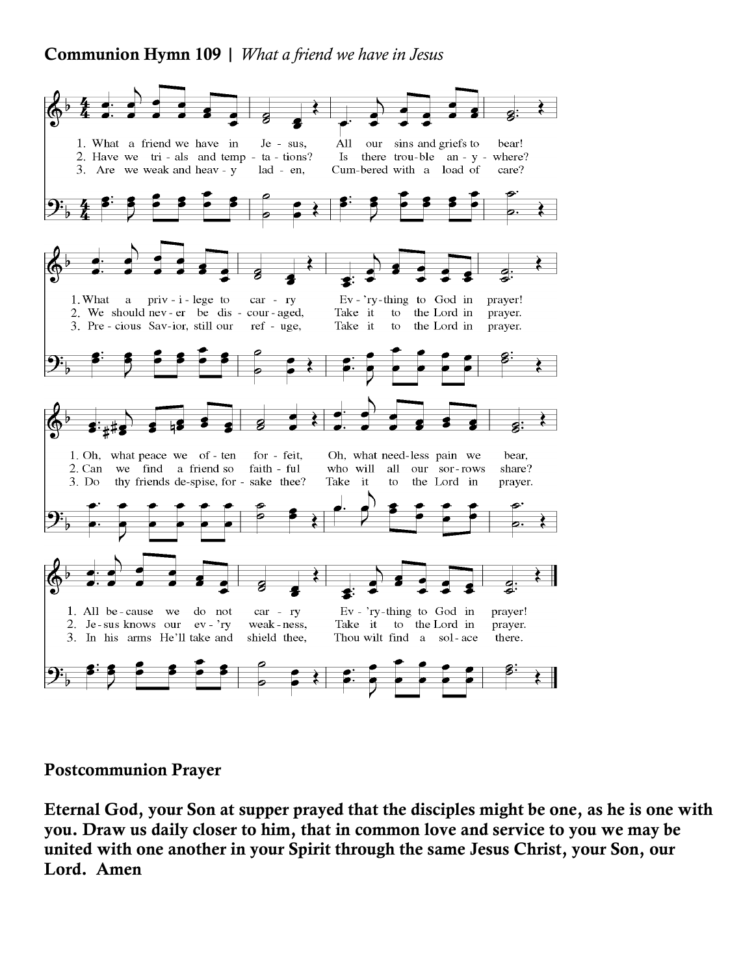## **Communion Hymn 109 |** *What a friend we have in Jesus*



#### **Postcommunion Prayer**

**Eternal God, your Son at supper prayed that the disciples might be one, as he is one with you. Draw us daily closer to him, that in common love and service to you we may be united with one another in your Spirit through the same Jesus Christ, your Son, our Lord. Amen**